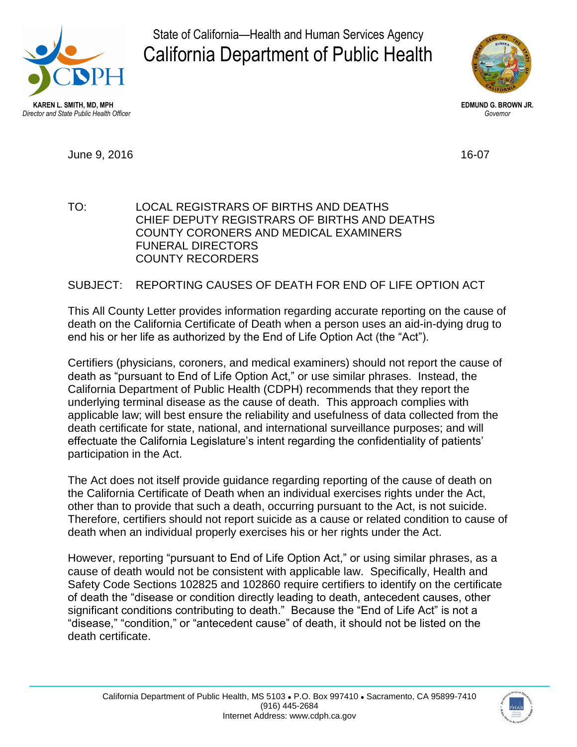

State of California—Health and Human Services Agency California Department of Public Health



June 9, 2016 16-07

## TO: LOCAL REGISTRARS OF BIRTHS AND DEATHS CHIEF DEPUTY REGISTRARS OF BIRTHS AND DEATHS COUNTY CORONERS AND MEDICAL EXAMINERS FUNERAL DIRECTORS COUNTY RECORDERS

## SUBJECT: REPORTING CAUSES OF DEATH FOR END OF LIFE OPTION ACT

This All County Letter provides information regarding accurate reporting on the cause of death on the California Certificate of Death when a person uses an aid-in-dying drug to end his or her life as authorized by the End of Life Option Act (the "Act").

Certifiers (physicians, coroners, and medical examiners) should not report the cause of death as "pursuant to End of Life Option Act," or use similar phrases. Instead, the California Department of Public Health (CDPH) recommends that they report the underlying terminal disease as the cause of death. This approach complies with applicable law; will best ensure the reliability and usefulness of data collected from the death certificate for state, national, and international surveillance purposes; and will effectuate the California Legislature's intent regarding the confidentiality of patients' participation in the Act.

The Act does not itself provide guidance regarding reporting of the cause of death on the California Certificate of Death when an individual exercises rights under the Act, other than to provide that such a death, occurring pursuant to the Act, is not suicide. Therefore, certifiers should not report suicide as a cause or related condition to cause of death when an individual properly exercises his or her rights under the Act.

However, reporting "pursuant to End of Life Option Act," or using similar phrases, as a cause of death would not be consistent with applicable law. Specifically, Health and Safety Code Sections 102825 and 102860 require certifiers to identify on the certificate of death the "disease or condition directly leading to death, antecedent causes, other significant conditions contributing to death." Because the "End of Life Act" is not a "disease," "condition," or "antecedent cause" of death, it should not be listed on the death certificate.

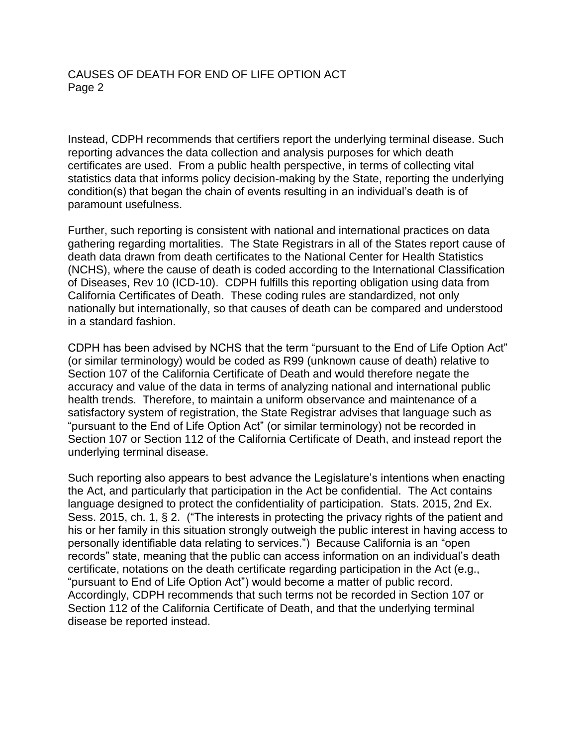## CAUSES OF DEATH FOR END OF LIFE OPTION ACT Page 2

Instead, CDPH recommends that certifiers report the underlying terminal disease. Such reporting advances the data collection and analysis purposes for which death certificates are used. From a public health perspective, in terms of collecting vital statistics data that informs policy decision-making by the State, reporting the underlying condition(s) that began the chain of events resulting in an individual's death is of paramount usefulness.

Further, such reporting is consistent with national and international practices on data gathering regarding mortalities. The State Registrars in all of the States report cause of death data drawn from death certificates to the National Center for Health Statistics (NCHS), where the cause of death is coded according to the International Classification of Diseases, Rev 10 (ICD-10). CDPH fulfills this reporting obligation using data from California Certificates of Death. These coding rules are standardized, not only nationally but internationally, so that causes of death can be compared and understood in a standard fashion.

CDPH has been advised by NCHS that the term "pursuant to the End of Life Option Act" (or similar terminology) would be coded as R99 (unknown cause of death) relative to Section 107 of the California Certificate of Death and would therefore negate the accuracy and value of the data in terms of analyzing national and international public health trends. Therefore, to maintain a uniform observance and maintenance of a satisfactory system of registration, the State Registrar advises that language such as "pursuant to the End of Life Option Act" (or similar terminology) not be recorded in Section 107 or Section 112 of the California Certificate of Death, and instead report the underlying terminal disease.

Such reporting also appears to best advance the Legislature's intentions when enacting the Act, and particularly that participation in the Act be confidential. The Act contains language designed to protect the confidentiality of participation. Stats. 2015, 2nd Ex. Sess. 2015, ch. 1, § 2. ("The interests in protecting the privacy rights of the patient and his or her family in this situation strongly outweigh the public interest in having access to personally identifiable data relating to services.") Because California is an "open records" state, meaning that the public can access information on an individual's death certificate, notations on the death certificate regarding participation in the Act (e.g., "pursuant to End of Life Option Act") would become a matter of public record. Accordingly, CDPH recommends that such terms not be recorded in Section 107 or Section 112 of the California Certificate of Death, and that the underlying terminal disease be reported instead.